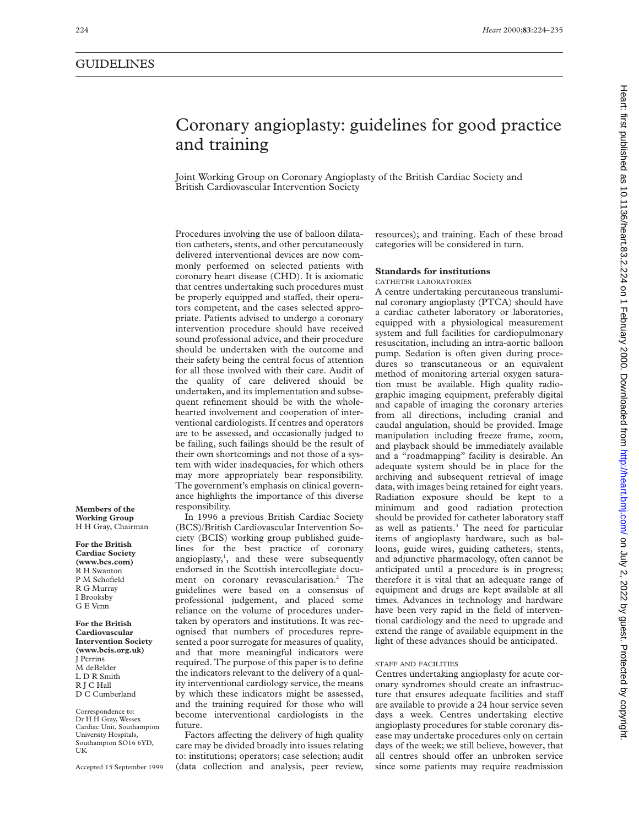# Heart: first published as 10.1136/heart.83.2.224 on 1 February 2000. Downloaded from http://heart.bmj.com/ on July 2, 2022 by guest. Protected by copyright Publish by guest. Protected by copyright. Protect and the state of the state of the state incompleded from the Heart. bmj.com/ on 1 February 2, 2022 by 2, 2022 by 10.1136/heart.83.2.224 on 1 February 2000. Downloaded from

# Coronary angioplasty: guidelines for good practice and training

Joint Working Group on Coronary Angioplasty of the British Cardiac Society and British Cardiovascular Intervention Society

Procedures involving the use of balloon dilatation catheters, stents, and other percutaneously delivered interventional devices are now commonly performed on selected patients with coronary heart disease (CHD). It is axiomatic that centres undertaking such procedures must be properly equipped and staffed, their operators competent, and the cases selected appropriate. Patients advised to undergo a coronary intervention procedure should have received sound professional advice, and their procedure should be undertaken with the outcome and their safety being the central focus of attention for all those involved with their care. Audit of the quality of care delivered should be undertaken, and its implementation and subsequent refinement should be with the wholehearted involvement and cooperation of interventional cardiologists. If centres and operators are to be assessed, and occasionally judged to be failing, such failings should be the result of their own shortcomings and not those of a system with wider inadequacies, for which others may more appropriately bear responsibility. The government's emphasis on clinical governance highlights the importance of this diverse responsibility.

In 1996 a previous British Cardiac Society (BCS)/British Cardiovascular Intervention Society (BCIS) working group published guidelines for the best practice of coronary angioplasty,<sup>1</sup>, and these were subsequently endorsed in the Scottish intercollegiate document on coronary revascularisation.<sup>2</sup> The guidelines were based on a consensus of professional judgement, and placed some reliance on the volume of procedures undertaken by operators and institutions. It was recognised that numbers of procedures represented a poor surrogate for measures of quality, and that more meaningful indicators were required. The purpose of this paper is to define the indicators relevant to the delivery of a quality interventional cardiology service, the means by which these indicators might be assessed, and the training required for those who will become interventional cardiologists in the future.

Factors affecting the delivery of high quality care may be divided broadly into issues relating to: institutions; operators; case selection; audit (data collection and analysis, peer review, resources); and training. Each of these broad categories will be considered in turn.

# **Standards for institutions**

CATHETER LABORATORIES

A centre undertaking percutaneous transluminal coronary angioplasty (PTCA) should have a cardiac catheter laboratory or laboratories, equipped with a physiological measurement system and full facilities for cardiopulmonary resuscitation, including an intra-aortic balloon pump. Sedation is often given during procedures so transcutaneous or an equivalent method of monitoring arterial oxygen saturation must be available. High quality radiographic imaging equipment, preferably digital and capable of imaging the coronary arteries from all directions, including cranial and caudal angulation, should be provided. Image manipulation including freeze frame, zoom, and playback should be immediately available and a "roadmapping" facility is desirable. An adequate system should be in place for the archiving and subsequent retrieval of image data, with images being retained for eight years. Radiation exposure should be kept to a minimum and good radiation protection should be provided for catheter laboratory staff as well as patients.<sup>3</sup> The need for particular items of angioplasty hardware, such as balloons, guide wires, guiding catheters, stents, and adjunctive pharmacology, often cannot be anticipated until a procedure is in progress; therefore it is vital that an adequate range of equipment and drugs are kept available at all times. Advances in technology and hardware have been very rapid in the field of interventional cardiology and the need to upgrade and extend the range of available equipment in the light of these advances should be anticipated.

# STAFF AND FACILITIES

Centres undertaking angioplasty for acute coronary syndromes should create an infrastructure that ensures adequate facilities and staff are available to provide a 24 hour service seven days a week. Centres undertaking elective angioplasty procedures for stable coronary disease may undertake procedures only on certain days of the week; we still believe, however, that all centres should offer an unbroken service since some patients may require readmission

**Members of the Working Group** H H Gray, Chairman

**For the British Cardiac Society (www.bcs.com)** R H Swanton P M Schofield R G Murray I Brooksby G E Venn

**For the British Cardiovascular Intervention Society (www.bcis.org.uk)** J Perrins M deBelder L D R Smith R J C Hall D C Cumberland

Correspondence to: Dr H H Gray, Wessex Cardiac Unit, Southampton University Hospitals, Southampton SO16 6YD, UK

Accepted 15 September 1999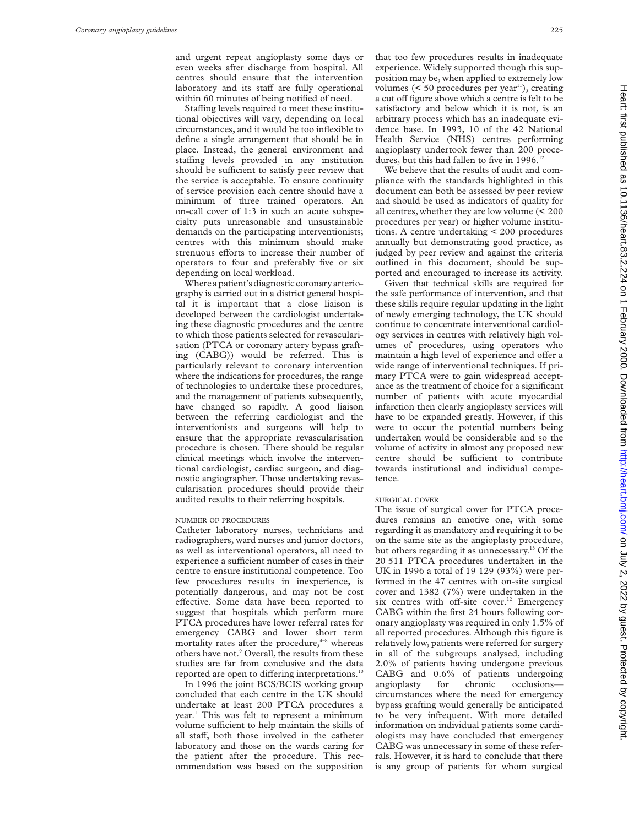and urgent repeat angioplasty some days or even weeks after discharge from hospital. All centres should ensure that the intervention laboratory and its staff are fully operational within 60 minutes of being notified of need.

Staffing levels required to meet these institutional objectives will vary, depending on local circumstances, and it would be too inflexible to define a single arrangement that should be in place. Instead, the general environment and staffing levels provided in any institution should be sufficient to satisfy peer review that the service is acceptable. To ensure continuity of service provision each centre should have a minimum of three trained operators. An on-call cover of 1:3 in such an acute subspecialty puts unreasonable and unsustainable demands on the participating interventionists; centres with this minimum should make strenuous efforts to increase their number of operators to four and preferably five or six depending on local workload.

Where a patient's diagnostic coronary arteriography is carried out in a district general hospital it is important that a close liaison is developed between the cardiologist undertaking these diagnostic procedures and the centre to which those patients selected for revascularisation (PTCA or coronary artery bypass grafting (CABG)) would be referred. This is particularly relevant to coronary intervention where the indications for procedures, the range of technologies to undertake these procedures, and the management of patients subsequently, have changed so rapidly. A good liaison between the referring cardiologist and the interventionists and surgeons will help to ensure that the appropriate revascularisation procedure is chosen. There should be regular clinical meetings which involve the interventional cardiologist, cardiac surgeon, and diagnostic angiographer. Those undertaking revascularisation procedures should provide their audited results to their referring hospitals.

#### NUMBER OF PROCEDURES

Catheter laboratory nurses, technicians and radiographers, ward nurses and junior doctors, as well as interventional operators, all need to experience a sufficient number of cases in their centre to ensure institutional competence. Too few procedures results in inexperience, is potentially dangerous, and may not be cost effective. Some data have been reported to suggest that hospitals which perform more PTCA procedures have lower referral rates for emergency CABG and lower short term mortality rates after the procedure, $4-8$  whereas others have not.<sup>9</sup> Overall, the results from these studies are far from conclusive and the data reported are open to differing interpretations.<sup>10</sup>

In 1996 the joint BCS/BCIS working group concluded that each centre in the UK should undertake at least 200 PTCA procedures a year.<sup>1</sup> This was felt to represent a minimum volume sufficient to help maintain the skills of all staff, both those involved in the catheter laboratory and those on the wards caring for the patient after the procedure. This recommendation was based on the supposition

that too few procedures results in inadequate experience. Widely supported though this supposition may be, when applied to extremely low volumes  $(< 50$  procedures per year<sup>11</sup>), creating a cut off figure above which a centre is felt to be satisfactory and below which it is not, is an arbitrary process which has an inadequate evidence base. In 1993, 10 of the 42 National Health Service (NHS) centres performing angioplasty undertook fewer than 200 procedures, but this had fallen to five in 1996.<sup>12</sup>

We believe that the results of audit and compliance with the standards highlighted in this document can both be assessed by peer review and should be used as indicators of quality for all centres, whether they are low volume (< 200 procedures per year) or higher volume institutions. A centre undertaking < 200 procedures annually but demonstrating good practice, as judged by peer review and against the criteria outlined in this document, should be supported and encouraged to increase its activity.

Given that technical skills are required for the safe performance of intervention, and that these skills require regular updating in the light of newly emerging technology, the UK should continue to concentrate interventional cardiology services in centres with relatively high volumes of procedures, using operators who maintain a high level of experience and offer a wide range of interventional techniques. If primary PTCA were to gain widespread acceptance as the treatment of choice for a significant number of patients with acute myocardial infarction then clearly angioplasty services will have to be expanded greatly. However, if this were to occur the potential numbers being undertaken would be considerable and so the volume of activity in almost any proposed new centre should be sufficient to contribute towards institutional and individual competence.

# SURGICAL COVER

The issue of surgical cover for PTCA procedures remains an emotive one, with some regarding it as mandatory and requiring it to be on the same site as the angioplasty procedure, but others regarding it as unnecessary.<sup>13</sup> Of the 20 511 PTCA procedures undertaken in the UK in 1996 a total of 19 129 (93%) were performed in the 47 centres with on-site surgical cover and 1382 (7%) were undertaken in the six centres with off-site cover.<sup>12</sup> Emergency CABG within the first 24 hours following coronary angioplasty was required in only 1.5% of all reported procedures. Although this figure is relatively low, patients were referred for surgery in all of the subgroups analysed, including 2.0% of patients having undergone previous CABG and 0.6% of patients undergoing angioplasty for chronic occlusions circumstances where the need for emergency bypass grafting would generally be anticipated to be very infrequent. With more detailed information on individual patients some cardiologists may have concluded that emergency CABG was unnecessary in some of these referrals. However, it is hard to conclude that there is any group of patients for whom surgical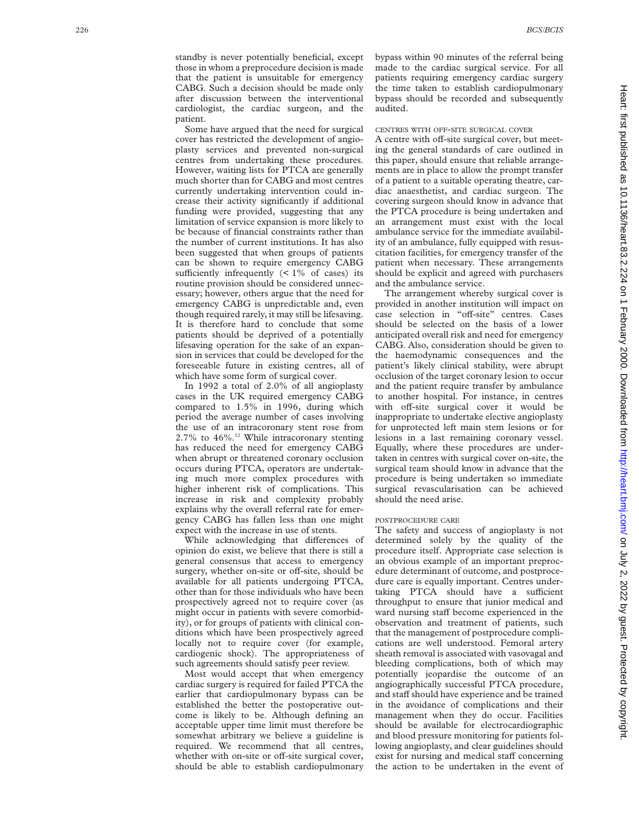standby is never potentially beneficial, except those in whom a preprocedure decision is made that the patient is unsuitable for emergency CABG. Such a decision should be made only after discussion between the interventional cardiologist, the cardiac surgeon, and the patient.

Some have argued that the need for surgical cover has restricted the development of angioplasty services and prevented non-surgical centres from undertaking these procedures. However, waiting lists for PTCA are generally much shorter than for CABG and most centres currently undertaking intervention could increase their activity significantly if additional funding were provided, suggesting that any limitation of service expansion is more likely to be because of financial constraints rather than the number of current institutions. It has also been suggested that when groups of patients can be shown to require emergency CABG sufficiently infrequently  $($  < 1% of cases) its routine provision should be considered unnecessary; however, others argue that the need for emergency CABG is unpredictable and, even though required rarely, it may still be lifesaving. It is therefore hard to conclude that some patients should be deprived of a potentially lifesaving operation for the sake of an expansion in services that could be developed for the foreseeable future in existing centres, all of which have some form of surgical cover.

In 1992 a total of 2.0% of all angioplasty cases in the UK required emergency CABG compared to 1.5% in 1996, during which period the average number of cases involving the use of an intracoronary stent rose from 2.7% to  $46\%$ .<sup>12</sup> While intracoronary stenting has reduced the need for emergency CABG when abrupt or threatened coronary occlusion occurs during PTCA, operators are undertaking much more complex procedures with higher inherent risk of complications. This increase in risk and complexity probably explains why the overall referral rate for emergency CABG has fallen less than one might expect with the increase in use of stents.

While acknowledging that differences of opinion do exist, we believe that there is still a general consensus that access to emergency surgery, whether on-site or off-site, should be available for all patients undergoing PTCA, other than for those individuals who have been prospectively agreed not to require cover (as might occur in patients with severe comorbidity), or for groups of patients with clinical conditions which have been prospectively agreed locally not to require cover (for example, cardiogenic shock). The appropriateness of such agreements should satisfy peer review.

Most would accept that when emergency cardiac surgery is required for failed PTCA the earlier that cardiopulmonary bypass can be established the better the postoperative outcome is likely to be. Although defining an acceptable upper time limit must therefore be somewhat arbitrary we believe a guideline is required. We recommend that all centres, whether with on-site or off-site surgical cover, should be able to establish cardiopulmonary bypass within 90 minutes of the referral being made to the cardiac surgical service. For all patients requiring emergency cardiac surgery the time taken to establish cardiopulmonary bypass should be recorded and subsequently audited.

## CENTRES WITH OFF -SITE SURGICAL COVER

A centre with off-site surgical cover, but meeting the general standards of care outlined in this paper, should ensure that reliable arrangements are in place to allow the prompt transfer of a patient to a suitable operating theatre, cardiac anaesthetist, and cardiac surgeon. The covering surgeon should know in advance that the PTCA procedure is being undertaken and an arrangement must exist with the local ambulance service for the immediate availability of an ambulance, fully equipped with resuscitation facilities, for emergency transfer of the patient when necessary. These arrangements should be explicit and agreed with purchasers and the ambulance service.

The arrangement whereby surgical cover is provided in another institution will impact on case selection in "off-site" centres. Cases should be selected on the basis of a lower anticipated overall risk and need for emergency CABG. Also, consideration should be given to the haemodynamic consequences and the patient's likely clinical stability, were abrupt occlusion of the target coronary lesion to occur and the patient require transfer by ambulance to another hospital. For instance, in centres with off-site surgical cover it would be inappropriate to undertake elective angioplasty for unprotected left main stem lesions or for lesions in a last remaining coronary vessel. Equally, where these procedures are undertaken in centres with surgical cover on-site, the surgical team should know in advance that the procedure is being undertaken so immediate surgical revascularisation can be achieved should the need arise.

#### POSTPROCEDURE CARE

The safety and success of angioplasty is not determined solely by the quality of the procedure itself. Appropriate case selection is an obvious example of an important preprocedure determinant of outcome, and postprocedure care is equally important. Centres undertaking PTCA should have a sufficient throughput to ensure that junior medical and ward nursing staff become experienced in the observation and treatment of patients, such that the management of postprocedure complications are well understood. Femoral artery sheath removal is associated with vasovagal and bleeding complications, both of which may potentially jeopardise the outcome of an angiographically successful PTCA procedure, and staff should have experience and be trained in the avoidance of complications and their management when they do occur. Facilities should be available for electrocardiographic and blood pressure monitoring for patients following angioplasty, and clear guidelines should exist for nursing and medical staff concerning the action to be undertaken in the event of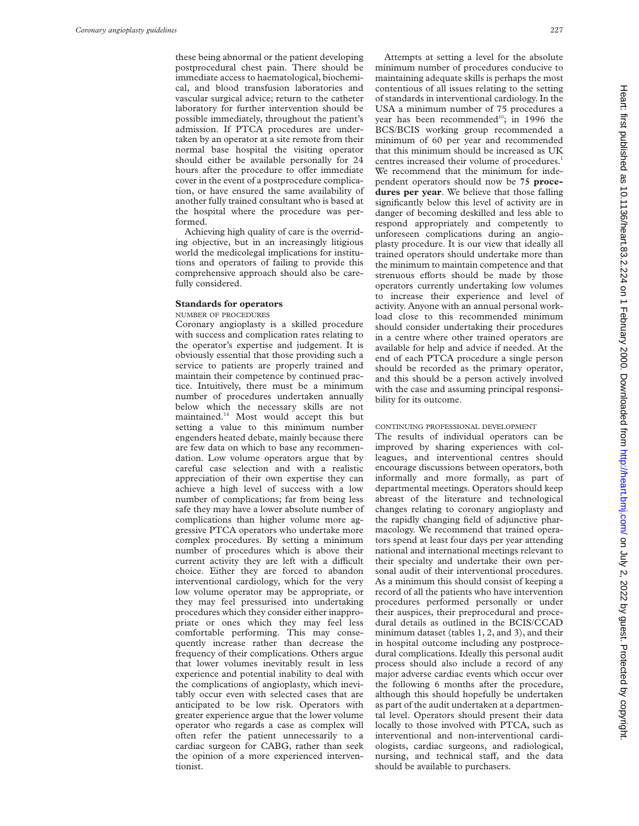these being abnormal or the patient developing postprocedural chest pain. There should be immediate access to haematological, biochemical, and blood transfusion laboratories and vascular surgical advice; return to the catheter laboratory for further intervention should be possible immediately, throughout the patient's admission. If PTCA procedures are undertaken by an operator at a site remote from their normal base hospital the visiting operator should either be available personally for 24 hours after the procedure to offer immediate cover in the event of a postprocedure complication, or have ensured the same availability of another fully trained consultant who is based at the hospital where the procedure was performed.

Achieving high quality of care is the overriding objective, but in an increasingly litigious world the medicolegal implications for institutions and operators of failing to provide this comprehensive approach should also be carefully considered.

# **Standards for operators**

NUMBER OF PROCEDURES

Coronary angioplasty is a skilled procedure with success and complication rates relating to the operator's expertise and judgement. It is obviously essential that those providing such a service to patients are properly trained and maintain their competence by continued practice. Intuitively, there must be a minimum number of procedures undertaken annually below which the necessary skills are not maintained.14 Most would accept this but setting a value to this minimum number engenders heated debate, mainly because there are few data on which to base any recommendation. Low volume operators argue that by careful case selection and with a realistic appreciation of their own expertise they can achieve a high level of success with a low number of complications; far from being less safe they may have a lower absolute number of complications than higher volume more aggressive PTCA operators who undertake more complex procedures. By setting a minimum number of procedures which is above their current activity they are left with a difficult choice. Either they are forced to abandon interventional cardiology, which for the very low volume operator may be appropriate, or they may feel pressurised into undertaking procedures which they consider either inappropriate or ones which they may feel less comfortable performing. This may consequently increase rather than decrease the frequency of their complications. Others argue that lower volumes inevitably result in less experience and potential inability to deal with the complications of angioplasty, which inevitably occur even with selected cases that are anticipated to be low risk. Operators with greater experience argue that the lower volume operator who regards a case as complex will often refer the patient unnecessarily to a cardiac surgeon for CABG, rather than seek the opinion of a more experienced interventionist.

Attempts at setting a level for the absolute minimum number of procedures conducive to maintaining adequate skills is perhaps the most contentious of all issues relating to the setting of standards in interventional cardiology. In the USA a minimum number of 75 procedures a year has been recommended<sup>10</sup>; in 1996 the BCS/BCIS working group recommended a minimum of 60 per year and recommended that this minimum should be increased as UK centres increased their volume of procedures.<sup>1</sup> We recommend that the minimum for independent operators should now be **75 procedures per year**. We believe that those falling significantly below this level of activity are in danger of becoming deskilled and less able to respond appropriately and competently to unforeseen complications during an angioplasty procedure. It is our view that ideally all trained operators should undertake more than the minimum to maintain competence and that strenuous efforts should be made by those operators currently undertaking low volumes to increase their experience and level of activity. Anyone with an annual personal workload close to this recommended minimum should consider undertaking their procedures in a centre where other trained operators are available for help and advice if needed. At the end of each PTCA procedure a single person should be recorded as the primary operator, and this should be a person actively involved with the case and assuming principal responsibility for its outcome.

### CONTINUING PROFESSIONAL DEVELOPMENT

The results of individual operators can be improved by sharing experiences with colleagues, and interventional centres should encourage discussions between operators, both informally and more formally, as part of departmental meetings. Operators should keep abreast of the literature and technological changes relating to coronary angioplasty and the rapidly changing field of adjunctive pharmacology. We recommend that trained operators spend at least four days per year attending national and international meetings relevant to their specialty and undertake their own personal audit of their interventional procedures. As a minimum this should consist of keeping a record of all the patients who have intervention procedures performed personally or under their auspices, their preprocedural and procedural details as outlined in the BCIS/CCAD minimum dataset (tables 1, 2, and 3), and their in hospital outcome including any postprocedural complications. Ideally this personal audit process should also include a record of any major adverse cardiac events which occur over the following 6 months after the procedure, although this should hopefully be undertaken as part of the audit undertaken at a departmental level. Operators should present their data locally to those involved with PTCA, such as interventional and non-interventional cardiologists, cardiac surgeons, and radiological, nursing, and technical staff, and the data should be available to purchasers.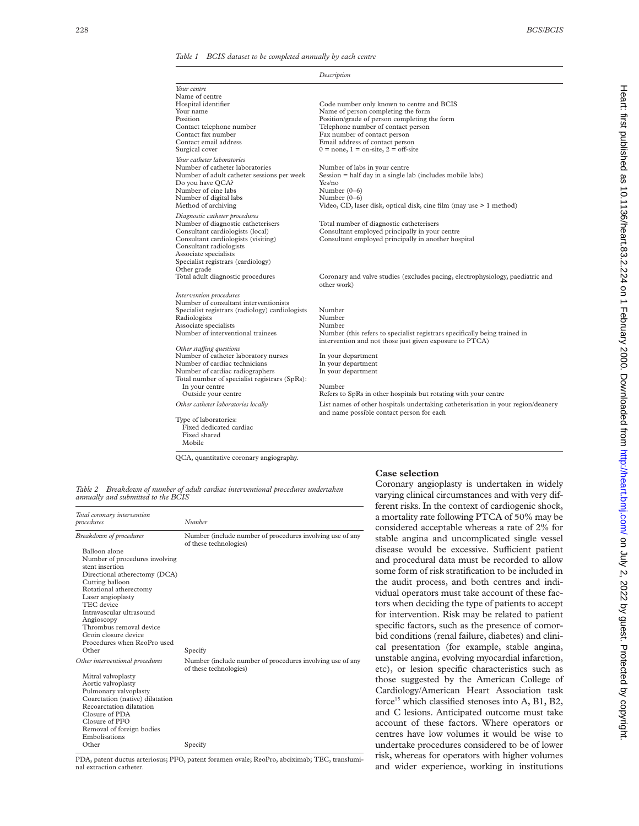*Table 1 BCIS dataset to be completed annually by each centre*

|                                                                      | Description                                                                                                                   |
|----------------------------------------------------------------------|-------------------------------------------------------------------------------------------------------------------------------|
| Your centre                                                          |                                                                                                                               |
| Name of centre                                                       |                                                                                                                               |
| Hospital identifier                                                  | Code number only known to centre and BCIS                                                                                     |
| Your name                                                            | Name of person completing the form                                                                                            |
| Position                                                             | Position/grade of person completing the form                                                                                  |
| Contact telephone number                                             | Telephone number of contact person                                                                                            |
| Contact fax number                                                   | Fax number of contact person                                                                                                  |
| Contact email address                                                | Email address of contact person                                                                                               |
| Surgical cover                                                       | $0 = none$ , $1 = one$ -site, $2 = off$ -site                                                                                 |
| Your catheter laboratories                                           |                                                                                                                               |
| Number of catheter laboratories                                      | Number of labs in your centre                                                                                                 |
| Number of adult catheter sessions per week<br>Do you have QCA?       | $Session = half day in a single lab (includes mobile labs)$<br>Yes/no                                                         |
| Number of cine labs                                                  | Number $(0-6)$                                                                                                                |
| Number of digital labs                                               | Number $(0-6)$                                                                                                                |
| Method of archiving                                                  | Video, CD, laser disk, optical disk, cine film (may use > 1 method)                                                           |
|                                                                      |                                                                                                                               |
| Diagnostic catheter procedures<br>Number of diagnostic catheterisers | Total number of diagnostic catheterisers                                                                                      |
| Consultant cardiologists (local)                                     | Consultant employed principally in your centre                                                                                |
| Consultant cardiologists (visiting)                                  | Consultant employed principally in another hospital                                                                           |
| Consultant radiologists                                              |                                                                                                                               |
| Associate specialists                                                |                                                                                                                               |
| Specialist registrars (cardiology)                                   |                                                                                                                               |
| Other grade                                                          |                                                                                                                               |
| Total adult diagnostic procedures                                    | Coronary and valve studies (excludes pacing, electrophysiology, paediatric and<br>other work)                                 |
| Intervention procedures                                              |                                                                                                                               |
| Number of consultant interventionists                                |                                                                                                                               |
| Specialist registrars (radiology) cardiologists                      | Number                                                                                                                        |
| Radiologists                                                         | Number                                                                                                                        |
| Associate specialists                                                | Number                                                                                                                        |
| Number of interventional trainees                                    | Number (this refers to specialist registrars specifically being trained in                                                    |
| Other staffing questions                                             | intervention and not those just given exposure to PTCA)                                                                       |
| Number of catheter laboratory nurses                                 | In your department                                                                                                            |
| Number of cardiac technicians                                        | In your department                                                                                                            |
| Number of cardiac radiographers                                      | In your department                                                                                                            |
| Total number of specialist registrars (SpRs):                        |                                                                                                                               |
| In your centre                                                       | Number                                                                                                                        |
| Outside your centre                                                  | Refers to SpRs in other hospitals but rotating with your centre                                                               |
| Other catheter laboratories locally                                  | List names of other hospitals undertaking catheterisation in your region/deanery<br>and name possible contact person for each |
| Type of laboratories:                                                |                                                                                                                               |
| Fixed dedicated cardiac                                              |                                                                                                                               |
| Fixed shared                                                         |                                                                                                                               |
| Mobile                                                               |                                                                                                                               |

QCA, quantitative coronary angiography.

*Table 2 Breakdown of number of adult cardiac interventional procedures undertaken annually and submitted to the BCIS*

| Total coronary intervention<br>procedures                                                                                                                                                                                                                                                                                                  | Number                                                                              |
|--------------------------------------------------------------------------------------------------------------------------------------------------------------------------------------------------------------------------------------------------------------------------------------------------------------------------------------------|-------------------------------------------------------------------------------------|
| Breakdown of procedures<br>Balloon alone<br>Number of procedures involving<br>stent insertion<br>Directional atherectomy (DCA)<br>Cutting balloon<br>Rotational atherectomy<br>Laser angioplasty<br>TEC device<br>Intravascular ultrasound<br>Angioscopy<br>Thrombus removal device<br>Groin closure device<br>Procedures when ReoPro used | Number (include number of procedures involving use of any<br>of these technologies) |
| Other                                                                                                                                                                                                                                                                                                                                      | Specify                                                                             |
| Other interventional procedures<br>Mitral valvoplasty<br>Aortic valvoplasty<br>Pulmonary valvoplasty<br>Coarctation (native) dilatation<br>Recoarctation dilatation<br>Closure of PDA<br>Closure of PFO<br>Removal of foreign bodies<br>Embolisations                                                                                      | Number (include number of procedures involving use of any<br>of these technologies) |
| Other                                                                                                                                                                                                                                                                                                                                      | Specify                                                                             |

PDA, patent ductus arteriosus; PFO, patent foramen ovale; ReoPro, abciximab; TEC, transluminal extraction catheter.

# **Case selection**

Coronary angioplasty is undertaken in widely varying clinical circumstances and with very different risks. In the context of cardiogenic shock, a mortality rate following PTCA of 50% may be considered acceptable whereas a rate of 2% for stable angina and uncomplicated single vessel disease would be excessive. Sufficient patient and procedural data must be recorded to allow some form of risk stratification to be included in the audit process, and both centres and individual operators must take account of these factors when deciding the type of patients to accept for intervention. Risk may be related to patient specific factors, such as the presence of comorbid conditions (renal failure, diabetes) and clinical presentation (for example, stable angina, unstable angina, evolving myocardial infarction, etc), or lesion specific characteristics such as those suggested by the American College of Cardiology/American Heart Association task force<sup>15</sup> which classified stenoses into A, B1, B2, and C lesions. Anticipated outcome must take account of these factors. Where operators or centres have low volumes it would be wise to undertake procedures considered to be of lower risk, whereas for operators with higher volumes and wider experience, working in institutions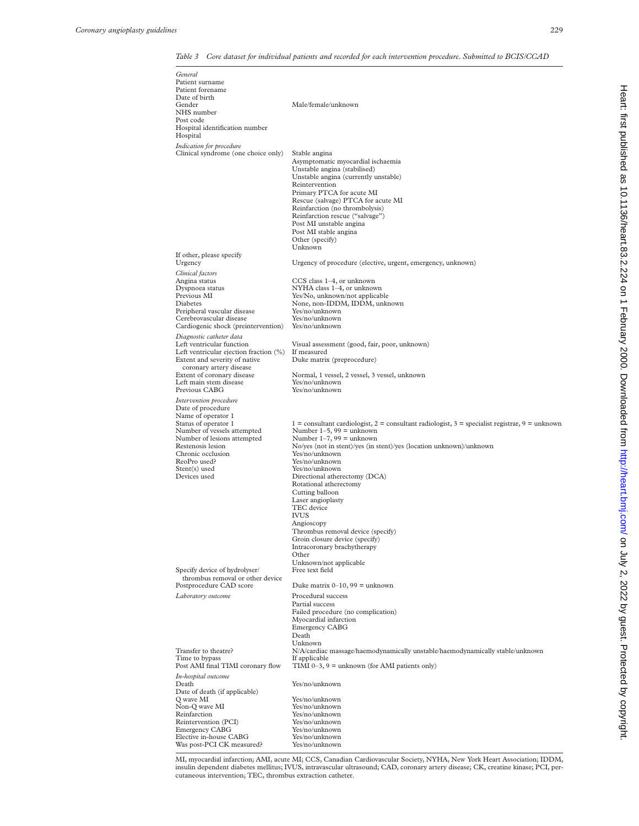# *Table 3 Core dataset for individual patients and recorded for each intervention procedure. Submitted to BCIS/CCAD*

| General<br>Patient surname<br>Patient forename<br>Date of birth<br>Gender<br>NHS number                                                                                                                                                                                             | Male/female/unknown                                                                                                                                                                                                                                                                                                                                                                                                                                                                                                                                                                                           |
|-------------------------------------------------------------------------------------------------------------------------------------------------------------------------------------------------------------------------------------------------------------------------------------|---------------------------------------------------------------------------------------------------------------------------------------------------------------------------------------------------------------------------------------------------------------------------------------------------------------------------------------------------------------------------------------------------------------------------------------------------------------------------------------------------------------------------------------------------------------------------------------------------------------|
| Post code<br>Hospital identification number                                                                                                                                                                                                                                         |                                                                                                                                                                                                                                                                                                                                                                                                                                                                                                                                                                                                               |
| Hospital<br>Indication for procedure                                                                                                                                                                                                                                                |                                                                                                                                                                                                                                                                                                                                                                                                                                                                                                                                                                                                               |
| Clinical syndrome (one choice only)<br>If other, please specify                                                                                                                                                                                                                     | Stable angina<br>Asymptomatic myocardial ischaemia<br>Unstable angina (stabilised)<br>Unstable angina (currently unstable)<br>Reintervention<br>Primary PTCA for acute MI<br>Rescue (salvage) PTCA for acute MI<br>Reinfarction (no thrombolysis)<br>Reinfarction rescue ("salvage")<br>Post MI unstable angina<br>Post MI stable angina<br>Other (specify)<br>Unknown                                                                                                                                                                                                                                        |
| Urgency                                                                                                                                                                                                                                                                             | Urgency of procedure (elective, urgent, emergency, unknown)                                                                                                                                                                                                                                                                                                                                                                                                                                                                                                                                                   |
| Clinical factors<br>Angina status<br>Dyspnoea status<br>Previous MI<br>Diabetes<br>Peripheral vascular disease<br>Cerebrovascular disease<br>Cardiogenic shock (preintervention)                                                                                                    | CCS class 1-4, or unknown<br>NYHA class 1-4, or unknown<br>Yes/No, unknown/not applicable<br>None, non-IDDM, IDDM, unknown<br>Yes/no/unknown<br>Yes/no/unknown<br>Yes/no/unknown                                                                                                                                                                                                                                                                                                                                                                                                                              |
| Diagnostic catheter data<br>Left ventricular function<br>Left ventricular ejection fraction (%)<br>Extent and severity of native<br>coronary artery disease<br>Extent of coronary disease<br>Left main stem disease<br>Previous CABG                                                | Visual assessment (good, fair, poor, unknown)<br>If measured<br>Duke matrix (preprocedure)<br>Normal, 1 vessel, 2 vessel, 3 vessel, unknown<br>Yes/no/unknown<br>Yes/no/unknown                                                                                                                                                                                                                                                                                                                                                                                                                               |
| Intervention procedure<br>Date of procedure<br>Name of operator 1<br>Status of operator 1<br>Number of vessels attempted<br>Number of lesions attempted<br>Restenosis lesion<br>Chronic occlusion<br>ReoPro used?<br>Stent(s) used<br>Devices used<br>Specify device of hydrolyser/ | $1 =$ consultant cardiologist, $2 =$ consultant radiologist, $3 =$ specialist registrar, $9 =$ unknown<br>Number $1-5$ , $99$ = unknown<br>Number $1-7$ , 99 = unknown<br>No/yes (not in stent)/yes (in stent)/yes (location unknown)/unknown<br>Yes/no/unknown<br>Yes/no/unknown<br>Yes/no/unknown<br>Directional atherectomy (DCA)<br>Rotational atherectomy<br>Cutting balloon<br>Laser angioplasty<br>TEC device<br><b>IVUS</b><br>Angioscopy<br>Thrombus removal device (specify)<br>Groin closure device (specify)<br>Intracoronary brachytherapy<br>Other<br>Unknown/not applicable<br>Free text field |
| thrombus removal or other device                                                                                                                                                                                                                                                    |                                                                                                                                                                                                                                                                                                                                                                                                                                                                                                                                                                                                               |
| Postprocedure CAD score<br>Laboratory outcome                                                                                                                                                                                                                                       | Duke matrix $0-10$ , $99$ = unknown<br>Procedural success<br>Partial success<br>Failed procedure (no complication)<br>Myocardial infarction<br><b>Emergency CABG</b><br>Death                                                                                                                                                                                                                                                                                                                                                                                                                                 |
| Transfer to theatre?<br>Time to bypass<br>Post AMI final TIMI coronary flow                                                                                                                                                                                                         | Unknown<br>N/A/cardiac massage/haemodynamically unstable/haemodynamically stable/unknown<br>If applicable<br>TIMI $0-3$ , $9 =$ unknown (for AMI patients only)                                                                                                                                                                                                                                                                                                                                                                                                                                               |
| In-hospital outcome<br>Death<br>Date of death (if applicable)<br>Q wave MI<br>Non-Q wave MI                                                                                                                                                                                         | Yes/no/unknown<br>Yes/no/unknown<br>Yes/no/unknown<br>Yes/no/unknown                                                                                                                                                                                                                                                                                                                                                                                                                                                                                                                                          |
| Reinfarction<br>Reintervention (PCI)<br><b>Emergency CABG</b><br>Elective in-house CABG<br>Was post-PCI CK measured?                                                                                                                                                                | Yes/no/unknown<br>Yes/no/unknown<br>Yes/no/unknown<br>Yes/no/unknown                                                                                                                                                                                                                                                                                                                                                                                                                                                                                                                                          |

MI, myocardial infarction; AMI, acute MI; CCS, Canadian Cardiovascular Society, NYHA, New York Heart Association; IDDM, insulin dependent diabetes mellitus; IVUS, intravascular ultrasound; CAD, coronary artery disease; CK, creatine kinase; PCI, percutaneous intervention; TEC, thrombus extraction catheter.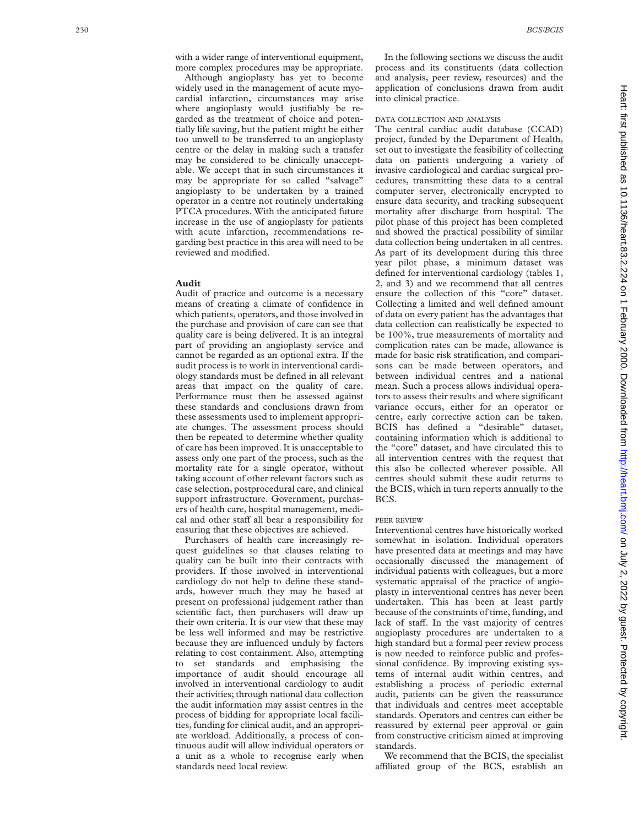with a wider range of interventional equipment, more complex procedures may be appropriate.

Although angioplasty has yet to become widely used in the management of acute myocardial infarction, circumstances may arise where angioplasty would justifiably be regarded as the treatment of choice and potentially life saving, but the patient might be either too unwell to be transferred to an angioplasty centre or the delay in making such a transfer may be considered to be clinically unacceptable. We accept that in such circumstances it may be appropriate for so called "salvage" angioplasty to be undertaken by a trained operator in a centre not routinely undertaking PTCA procedures. With the anticipated future increase in the use of angioplasty for patients with acute infarction, recommendations regarding best practice in this area will need to be reviewed and modified.

# **Audit**

Audit of practice and outcome is a necessary means of creating a climate of confidence in which patients, operators, and those involved in the purchase and provision of care can see that quality care is being delivered. It is an integral part of providing an angioplasty service and cannot be regarded as an optional extra. If the audit process is to work in interventional cardiology standards must be defined in all relevant areas that impact on the quality of care. Performance must then be assessed against these standards and conclusions drawn from these assessments used to implement appropriate changes. The assessment process should then be repeated to determine whether quality of care has been improved. It is unacceptable to assess only one part of the process, such as the mortality rate for a single operator, without taking account of other relevant factors such as case selection, postprocedural care, and clinical support infrastructure. Government, purchasers of health care, hospital management, medical and other staff all bear a responsibility for ensuring that these objectives are achieved.

Purchasers of health care increasingly request guidelines so that clauses relating to quality can be built into their contracts with providers. If those involved in interventional cardiology do not help to define these standards, however much they may be based at present on professional judgement rather than scientific fact, then purchasers will draw up their own criteria. It is our view that these may be less well informed and may be restrictive because they are influenced unduly by factors relating to cost containment. Also, attempting to set standards and emphasising the importance of audit should encourage all involved in interventional cardiology to audit their activities; through national data collection the audit information may assist centres in the process of bidding for appropriate local facilities, funding for clinical audit, and an appropriate workload. Additionally, a process of continuous audit will allow individual operators or a unit as a whole to recognise early when standards need local review.

In the following sections we discuss the audit process and its constituents (data collection and analysis, peer review, resources) and the application of conclusions drawn from audit into clinical practice.

# DATA COLLECTION AND ANALYSIS

The central cardiac audit database (CCAD) project, funded by the Department of Health, set out to investigate the feasibility of collecting data on patients undergoing a variety of invasive cardiological and cardiac surgical procedures, transmitting these data to a central computer server, electronically encrypted to ensure data security, and tracking subsequent mortality after discharge from hospital. The pilot phase of this project has been completed and showed the practical possibility of similar data collection being undertaken in all centres. As part of its development during this three year pilot phase, a minimum dataset was defined for interventional cardiology (tables 1, 2, and 3) and we recommend that all centres ensure the collection of this "core" dataset. Collecting a limited and well defined amount of data on every patient has the advantages that data collection can realistically be expected to be 100%, true measurements of mortality and complication rates can be made, allowance is made for basic risk stratification, and comparisons can be made between operators, and between individual centres and a national mean. Such a process allows individual operators to assess their results and where significant variance occurs, either for an operator or centre, early corrective action can be taken. BCIS has defined a "desirable" dataset, containing information which is additional to the "core" dataset, and have circulated this to all intervention centres with the request that this also be collected wherever possible. All centres should submit these audit returns to the BCIS, which in turn reports annually to the BCS.

#### PEER REVIEW

Interventional centres have historically worked somewhat in isolation. Individual operators have presented data at meetings and may have occasionally discussed the management of individual patients with colleagues, but a more systematic appraisal of the practice of angioplasty in interventional centres has never been undertaken. This has been at least partly because of the constraints of time, funding, and lack of staff. In the vast majority of centres angioplasty procedures are undertaken to a high standard but a formal peer review process is now needed to reinforce public and professional confidence. By improving existing systems of internal audit within centres, and establishing a process of periodic external audit, patients can be given the reassurance that individuals and centres meet acceptable standards. Operators and centres can either be reassured by external peer approval or gain from constructive criticism aimed at improving standards.

We recommend that the BCIS, the specialist a Yliated group of the BCS, establish an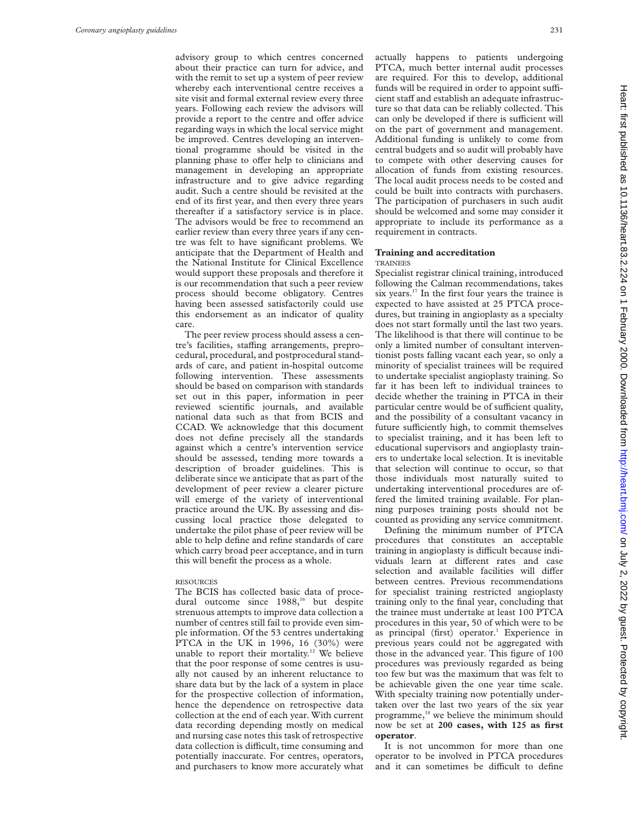advisory group to which centres concerned about their practice can turn for advice, and with the remit to set up a system of peer review whereby each interventional centre receives a site visit and formal external review every three years. Following each review the advisors will provide a report to the centre and offer advice regarding ways in which the local service might be improved. Centres developing an interventional programme should be visited in the planning phase to offer help to clinicians and management in developing an appropriate infrastructure and to give advice regarding audit. Such a centre should be revisited at the end of its first year, and then every three years thereafter if a satisfactory service is in place. The advisors would be free to recommend an earlier review than every three years if any centre was felt to have significant problems. We anticipate that the Department of Health and the National Institute for Clinical Excellence would support these proposals and therefore it is our recommendation that such a peer review process should become obligatory. Centres having been assessed satisfactorily could use this endorsement as an indicator of quality care.

The peer review process should assess a centre's facilities, staffing arrangements, preprocedural, procedural, and postprocedural standards of care, and patient in-hospital outcome following intervention. These assessments should be based on comparison with standards set out in this paper, information in peer reviewed scientific journals, and available national data such as that from BCIS and CCAD. We acknowledge that this document does not define precisely all the standards against which a centre's intervention service should be assessed, tending more towards a description of broader guidelines. This is deliberate since we anticipate that as part of the development of peer review a clearer picture will emerge of the variety of interventional practice around the UK. By assessing and discussing local practice those delegated to undertake the pilot phase of peer review will be able to help define and refine standards of care which carry broad peer acceptance, and in turn this will benefit the process as a whole.

# RESOURCES

The BCIS has collected basic data of procedural outcome since 1988,<sup>16</sup> but despite strenuous attempts to improve data collection a number of centres still fail to provide even simple information. Of the 53 centres undertaking PTCA in the UK in 1996, 16 (30%) were unable to report their mortality.<sup>12</sup> We believe that the poor response of some centres is usually not caused by an inherent reluctance to share data but by the lack of a system in place for the prospective collection of information, hence the dependence on retrospective data collection at the end of each year. With current data recording depending mostly on medical and nursing case notes this task of retrospective data collection is difficult, time consuming and potentially inaccurate. For centres, operators, and purchasers to know more accurately what actually happens to patients undergoing PTCA, much better internal audit processes are required. For this to develop, additional funds will be required in order to appoint sufficient staff and establish an adequate infrastructure so that data can be reliably collected. This can only be developed if there is sufficient will on the part of government and management. Additional funding is unlikely to come from central budgets and so audit will probably have to compete with other deserving causes for allocation of funds from existing resources. The local audit process needs to be costed and could be built into contracts with purchasers. The participation of purchasers in such audit should be welcomed and some may consider it appropriate to include its performance as a requirement in contracts.

# **Training and accreditation TRAINEES**

Specialist registrar clinical training, introduced following the Calman recommendations, takes six years.<sup>17</sup> In the first four years the trainee is expected to have assisted at 25 PTCA procedures, but training in angioplasty as a specialty does not start formally until the last two years. The likelihood is that there will continue to be only a limited number of consultant interventionist posts falling vacant each year, so only a minority of specialist trainees will be required to undertake specialist angioplasty training. So far it has been left to individual trainees to decide whether the training in PTCA in their particular centre would be of sufficient quality, and the possibility of a consultant vacancy in future sufficiently high, to commit themselves to specialist training, and it has been left to educational supervisors and angioplasty trainers to undertake local selection. It is inevitable that selection will continue to occur, so that those individuals most naturally suited to undertaking interventional procedures are offered the limited training available. For planning purposes training posts should not be counted as providing any service commitment.

Defining the minimum number of PTCA procedures that constitutes an acceptable training in angioplasty is difficult because individuals learn at different rates and case selection and available facilities will differ between centres. Previous recommendations for specialist training restricted angioplasty training only to the final year, concluding that the trainee must undertake at least 100 PTCA procedures in this year, 50 of which were to be as principal (first) operator.<sup>1</sup> Experience in previous years could not be aggregated with those in the advanced year. This figure of 100 procedures was previously regarded as being too few but was the maximum that was felt to be achievable given the one year time scale. With specialty training now potentially undertaken over the last two years of the six year programme,<sup>18</sup> we believe the minimum should now be set at **200 cases, with 125 as first operator**.

It is not uncommon for more than one operator to be involved in PTCA procedures and it can sometimes be difficult to define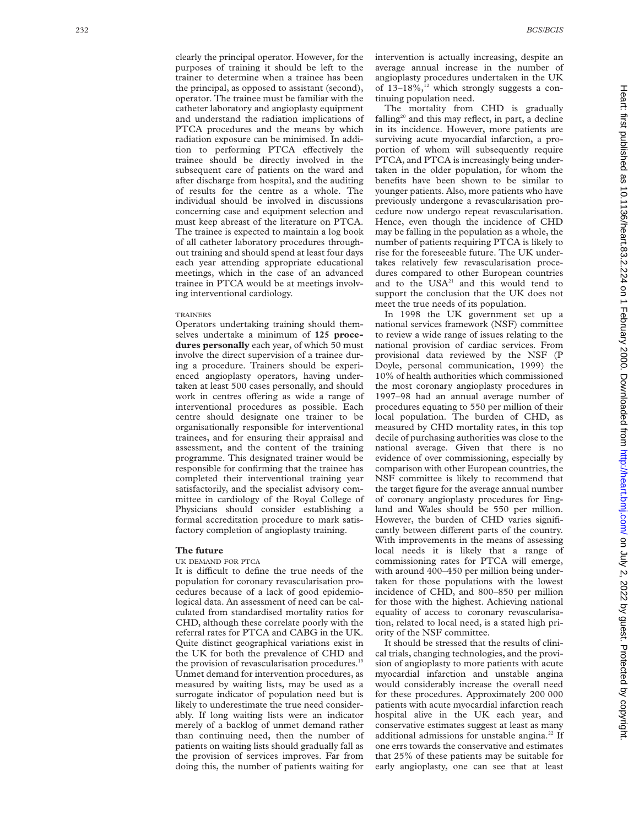clearly the principal operator. However, for the purposes of training it should be left to the trainer to determine when a trainee has been the principal, as opposed to assistant (second), operator. The trainee must be familiar with the catheter laboratory and angioplasty equipment and understand the radiation implications of PTCA procedures and the means by which radiation exposure can be minimised. In addition to performing PTCA effectively the trainee should be directly involved in the subsequent care of patients on the ward and after discharge from hospital, and the auditing of results for the centre as a whole. The individual should be involved in discussions concerning case and equipment selection and must keep abreast of the literature on PTCA. The trainee is expected to maintain a log book of all catheter laboratory procedures throughout training and should spend at least four days each year attending appropriate educational meetings, which in the case of an advanced trainee in PTCA would be at meetings involving interventional cardiology.

#### **TRAINERS**

Operators undertaking training should themselves undertake a minimum of **125 procedures personally** each year, of which 50 must involve the direct supervision of a trainee during a procedure. Trainers should be experienced angioplasty operators, having undertaken at least 500 cases personally, and should work in centres offering as wide a range of interventional procedures as possible. Each centre should designate one trainer to be organisationally responsible for interventional trainees, and for ensuring their appraisal and assessment, and the content of the training programme. This designated trainer would be responsible for confirming that the trainee has completed their interventional training year satisfactorily, and the specialist advisory committee in cardiology of the Royal College of Physicians should consider establishing a formal accreditation procedure to mark satisfactory completion of angioplasty training.

# **The future**

# UK DEMAND FOR PTCA

It is difficult to define the true needs of the population for coronary revascularisation procedures because of a lack of good epidemiological data. An assessment of need can be calculated from standardised mortality ratios for CHD, although these correlate poorly with the referral rates for PTCA and CABG in the UK. Quite distinct geographical variations exist in the UK for both the prevalence of CHD and the provision of revascularisation procedures.<sup>19</sup> Unmet demand for intervention procedures, as measured by waiting lists, may be used as a surrogate indicator of population need but is likely to underestimate the true need considerably. If long waiting lists were an indicator merely of a backlog of unmet demand rather than continuing need, then the number of patients on waiting lists should gradually fall as the provision of services improves. Far from doing this, the number of patients waiting for

intervention is actually increasing, despite an average annual increase in the number of angioplasty procedures undertaken in the UK of  $13-18\%,$ <sup>12</sup> which strongly suggests a continuing population need.

The mortality from CHD is gradually falling<sup>20</sup> and this may reflect, in part, a decline in its incidence. However, more patients are surviving acute myocardial infarction, a proportion of whom will subsequently require PTCA, and PTCA is increasingly being undertaken in the older population, for whom the benefits have been shown to be similar to younger patients. Also, more patients who have previously undergone a revascularisation procedure now undergo repeat revascularisation. Hence, even though the incidence of CHD may be falling in the population as a whole, the number of patients requiring PTCA is likely to rise for the foreseeable future. The UK undertakes relatively few revascularisation procedures compared to other European countries and to the USA<sup>21</sup> and this would tend to support the conclusion that the UK does not meet the true needs of its population.

In 1998 the UK government set up a national services framework (NSF) committee to review a wide range of issues relating to the national provision of cardiac services. From provisional data reviewed by the NSF (P Doyle, personal communication, 1999) the 10% of health authorities which commissioned the most coronary angioplasty procedures in 1997–98 had an annual average number of procedures equating to 550 per million of their local population. The burden of CHD, as measured by CHD mortality rates, in this top decile of purchasing authorities was close to the national average. Given that there is no evidence of over commissioning, especially by comparison with other European countries, the NSF committee is likely to recommend that the target figure for the average annual number of coronary angioplasty procedures for England and Wales should be 550 per million. However, the burden of CHD varies significantly between different parts of the country. With improvements in the means of assessing local needs it is likely that a range of commissioning rates for PTCA will emerge, with around 400–450 per million being undertaken for those populations with the lowest incidence of CHD, and 800–850 per million for those with the highest. Achieving national equality of access to coronary revascularisation, related to local need, is a stated high priority of the NSF committee.

It should be stressed that the results of clinical trials, changing technologies, and the provision of angioplasty to more patients with acute myocardial infarction and unstable angina would considerably increase the overall need for these procedures. Approximately 200 000 patients with acute myocardial infarction reach hospital alive in the UK each year, and conservative estimates suggest at least as many additional admissions for unstable angina.<sup>22</sup> If one errs towards the conservative and estimates that 25% of these patients may be suitable for early angioplasty, one can see that at least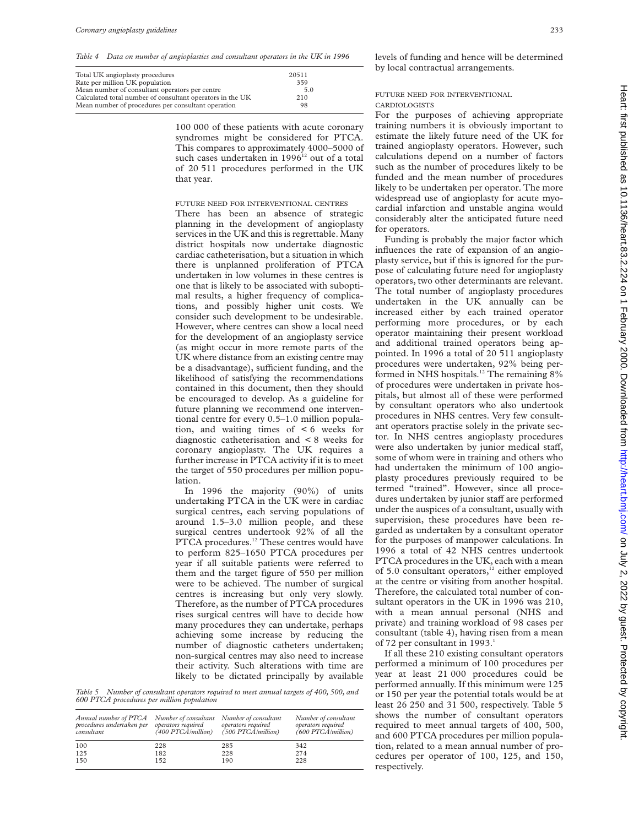*Table 4 Data on number of angioplasties and consultant operators in the UK in 1996*

| Total UK angioplasty procedures                           | 20511 |  |
|-----------------------------------------------------------|-------|--|
| Rate per million UK population                            | 359   |  |
| Mean number of consultant operators per centre            | 5.0   |  |
| Calculated total number of consultant operators in the UK | 210   |  |
| Mean number of procedures per consultant operation        | 98    |  |
|                                                           |       |  |

100 000 of these patients with acute coronary syndromes might be considered for PTCA. This compares to approximately 4000–5000 of such cases undertaken in 1996<sup>12</sup> out of a total of 20 511 procedures performed in the UK that year.

#### FUTURE NEED FOR INTERVENTIONAL CENTRES

There has been an absence of strategic planning in the development of angioplasty services in the UK and this is regrettable. Many district hospitals now undertake diagnostic cardiac catheterisation, but a situation in which there is unplanned proliferation of PTCA undertaken in low volumes in these centres is one that is likely to be associated with suboptimal results, a higher frequency of complications, and possibly higher unit costs. We consider such development to be undesirable. However, where centres can show a local need for the development of an angioplasty service (as might occur in more remote parts of the UK where distance from an existing centre may be a disadvantage), sufficient funding, and the likelihood of satisfying the recommendations contained in this document, then they should be encouraged to develop. As a guideline for future planning we recommend one interventional centre for every 0.5–1.0 million population, and waiting times of < 6 weeks for diagnostic catheterisation and < 8 weeks for coronary angioplasty. The UK requires a further increase in PTCA activity if it is to meet the target of 550 procedures per million population.

In 1996 the majority (90%) of units undertaking PTCA in the UK were in cardiac surgical centres, each serving populations of around 1.5–3.0 million people, and these surgical centres undertook 92% of all the PTCA procedures.<sup>12</sup> These centres would have to perform 825–1650 PTCA procedures per year if all suitable patients were referred to them and the target figure of 550 per million were to be achieved. The number of surgical centres is increasing but only very slowly. Therefore, as the number of PTCA procedures rises surgical centres will have to decide how many procedures they can undertake, perhaps achieving some increase by reducing the number of diagnostic catheters undertaken; non-surgical centres may also need to increase their activity. Such alterations with time are likely to be dictated principally by available

*Table 5 Number of consultant operators required to meet annual targets of 400, 500, and 600 PTCA procedures per million population*

| Annual number of PTCA<br>procedures undertaken per<br>consultant | Number of consultant<br>operators required<br>$(400$ PTCA/million) | Number of consultant<br>operators required<br>$(500$ PTCA/million) | Number of consultant<br>operators required<br>$(600$ PTCA/million) |
|------------------------------------------------------------------|--------------------------------------------------------------------|--------------------------------------------------------------------|--------------------------------------------------------------------|
| 100                                                              | 228                                                                | 285                                                                | 342                                                                |
| 125                                                              | 182                                                                | 228                                                                | 274                                                                |
| 150                                                              | 152                                                                | 190                                                                | 228                                                                |

levels of funding and hence will be determined by local contractual arrangements.

# FUTURE NEED FOR INTERVENTIONAL

# CARDIOLOGISTS

For the purposes of achieving appropriate training numbers it is obviously important to estimate the likely future need of the UK for trained angioplasty operators. However, such calculations depend on a number of factors such as the number of procedures likely to be funded and the mean number of procedures likely to be undertaken per operator. The more widespread use of angioplasty for acute myocardial infarction and unstable angina would considerably alter the anticipated future need for operators.

Funding is probably the major factor which influences the rate of expansion of an angioplasty service, but if this is ignored for the purpose of calculating future need for angioplasty operators, two other determinants are relevant. The total number of angioplasty procedures undertaken in the UK annually can be increased either by each trained operator performing more procedures, or by each operator maintaining their present workload and additional trained operators being appointed. In 1996 a total of 20 511 angioplasty procedures were undertaken, 92% being performed in NHS hospitals.<sup>12</sup> The remaining 8% of procedures were undertaken in private hospitals, but almost all of these were performed by consultant operators who also undertook procedures in NHS centres. Very few consultant operators practise solely in the private sector. In NHS centres angioplasty procedures were also undertaken by junior medical staff, some of whom were in training and others who had undertaken the minimum of 100 angioplasty procedures previously required to be termed "trained". However, since all procedures undertaken by junior staff are performed under the auspices of a consultant, usually with supervision, these procedures have been regarded as undertaken by a consultant operator for the purposes of manpower calculations. In 1996 a total of 42 NHS centres undertook PTCA procedures in the UK, each with a mean of 5.0 consultant operators,<sup>12</sup> either employed at the centre or visiting from another hospital. Therefore, the calculated total number of consultant operators in the UK in 1996 was 210, with a mean annual personal (NHS and private) and training workload of 98 cases per consultant (table 4), having risen from a mean of 72 per consultant in 1993.<sup>1</sup>

If all these 210 existing consultant operators performed a minimum of 100 procedures per year at least 21 000 procedures could be performed annually. If this minimum were 125 or 150 per year the potential totals would be at least 26 250 and 31 500, respectively. Table 5 shows the number of consultant operators required to meet annual targets of 400, 500, and 600 PTCA procedures per million population, related to a mean annual number of procedures per operator of 100, 125, and 150, respectively.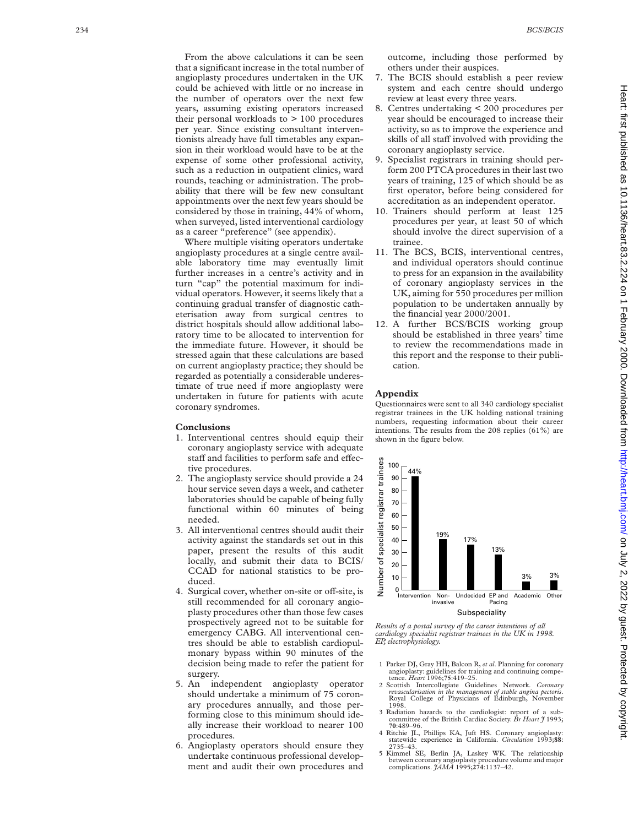From the above calculations it can be seen that a significant increase in the total number of angioplasty procedures undertaken in the UK could be achieved with little or no increase in the number of operators over the next few years, assuming existing operators increased their personal workloads to  $> 100$  procedures per year. Since existing consultant interventionists already have full timetables any expansion in their workload would have to be at the expense of some other professional activity, such as a reduction in outpatient clinics, ward rounds, teaching or administration. The probability that there will be few new consultant appointments over the next few years should be considered by those in training, 44% of whom, when surveyed, listed interventional cardiology as a career "preference" (see appendix).

Where multiple visiting operators undertake angioplasty procedures at a single centre available laboratory time may eventually limit further increases in a centre's activity and in turn "cap" the potential maximum for individual operators. However, it seems likely that a continuing gradual transfer of diagnostic catheterisation away from surgical centres to district hospitals should allow additional laboratory time to be allocated to intervention for the immediate future. However, it should be stressed again that these calculations are based on current angioplasty practice; they should be regarded as potentially a considerable underestimate of true need if more angioplasty were undertaken in future for patients with acute coronary syndromes.

# **Conclusions**

- 1. Interventional centres should equip their coronary angioplasty service with adequate staff and facilities to perform safe and effective procedures.
- 2. The angioplasty service should provide a 24 hour service seven days a week, and catheter laboratories should be capable of being fully functional within 60 minutes of being needed.
- 3. All interventional centres should audit their activity against the standards set out in this paper, present the results of this audit locally, and submit their data to BCIS/ CCAD for national statistics to be produced.
- 4. Surgical cover, whether on-site or off-site, is still recommended for all coronary angioplasty procedures other than those few cases prospectively agreed not to be suitable for emergency CABG. All interventional centres should be able to establish cardiopulmonary bypass within 90 minutes of the decision being made to refer the patient for surgery.
- 5. An independent angioplasty operator should undertake a minimum of 75 coronary procedures annually, and those performing close to this minimum should ideally increase their workload to nearer 100 procedures.
- 6. Angioplasty operators should ensure they undertake continuous professional development and audit their own procedures and

outcome, including those performed by others under their auspices.

- 7. The BCIS should establish a peer review system and each centre should undergo review at least every three years.
- 8. Centres undertaking < 200 procedures per year should be encouraged to increase their activity, so as to improve the experience and skills of all staff involved with providing the coronary angioplasty service.
- 9. Specialist registrars in training should perform 200 PTCA procedures in their last two years of training, 125 of which should be as first operator, before being considered for accreditation as an independent operator.
- 10. Trainers should perform at least 125 procedures per year, at least 50 of which should involve the direct supervision of a trainee.
- 11. The BCS, BCIS, interventional centres, and individual operators should continue to press for an expansion in the availability of coronary angioplasty services in the UK, aiming for 550 procedures per million population to be undertaken annually by the financial year 2000/2001.
- 12. A further BCS/BCIS working group should be established in three years' time to review the recommendations made in this report and the response to their publication.

# **Appendix**

Questionnaires were sent to all 340 cardiology specialist registrar trainees in the UK holding national training numbers, requesting information about their career intentions. The results from the 208 replies (61%) are shown in the figure below.



*Results of a postal survey of the career intentions of all cardiology specialist registrar trainees in the UK in 1998. EP, electrophysiology.*

- 1 Parker DJ, Gray HH, Balcon R, *et al*. Planning for coronary angioplasty: guidelines for training and continuing competence. *Heart* 1996;**75**:419–25.
- 2 Scottish Intercollegiate Guidelines Network. *Coronary revascularisation in the management of stable angina pectoris* . Royal College of Physicians of Edinburgh, November 1998.
- 3 Radiation hazards to the cardiologist: report of a sub-committee of the British Cardiac Society. *Br Heart J* 1993; **70**:489–96.
- 4 Ritchie JL, Phillips KA, Juft HS. Coronary angioplasty: statewide experience in California. *Circulation* 1993;**88** : 2735–43.
- 5 Kimmel SE, Berlin JA, Laskey WK. The relationship between coronary angioplasty procedure volume and major complications. *JAMA* 1995;**274**:1137–42.